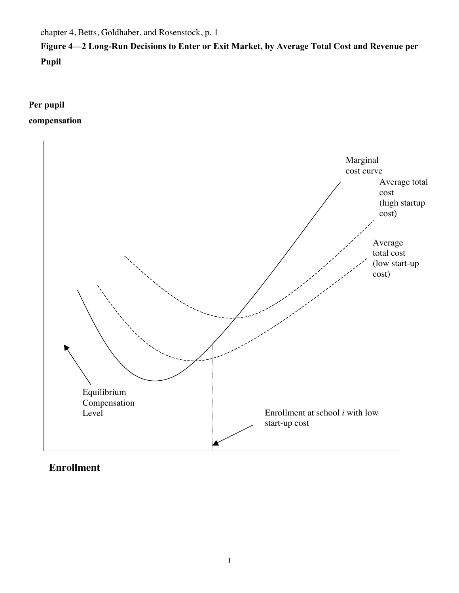chapter 4, Betts, Goldhaber, and Rosenstock, p. 1

**Figure 4—2 Long-Run Decisions to Enter or Exit Market, by Average Total Cost and Revenue per Pupil**

**Per pupil compensation** 



## **Enrollment**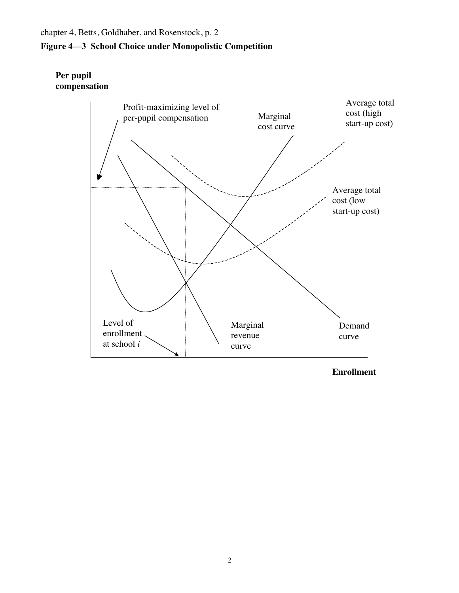## chapter 4, Betts, Goldhaber, and Rosenstock, p. 2 **Figure 4—3 School Choice under Monopolistic Competition**

## **Per pupil compensation**



**Enrollment**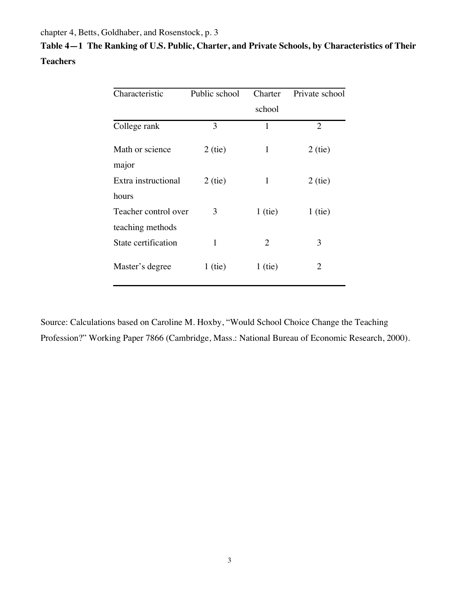chapter 4, Betts, Goldhaber, and Rosenstock, p. 3

|                 | Table 4—1   The Ranking of U.S. Public, Charter, and Private Schools, by Characteristics of Their |  |  |
|-----------------|---------------------------------------------------------------------------------------------------|--|--|
| <b>Teachers</b> |                                                                                                   |  |  |

| Characteristic           | Public school | Charter        | Private school |
|--------------------------|---------------|----------------|----------------|
|                          |               | school         |                |
| College rank             | 3             | 1              | 2              |
| Math or science<br>major | $2$ (tie)     | 1              | $2$ (tie)      |
| Extra instructional      | $2$ (tie)     | $\mathbf{1}$   | $2$ (tie)      |
| hours                    |               |                |                |
| Teacher control over     | 3             | $1$ (tie)      | $1$ (tie)      |
| teaching methods         |               |                |                |
| State certification      | 1             | $\overline{2}$ | 3              |
| Master's degree          | $1$ (tie)     | $1$ (tie)      | 2              |

Source: Calculations based on Caroline M. Hoxby, "Would School Choice Change the Teaching Profession?" Working Paper 7866 (Cambridge, Mass.: National Bureau of Economic Research, 2000).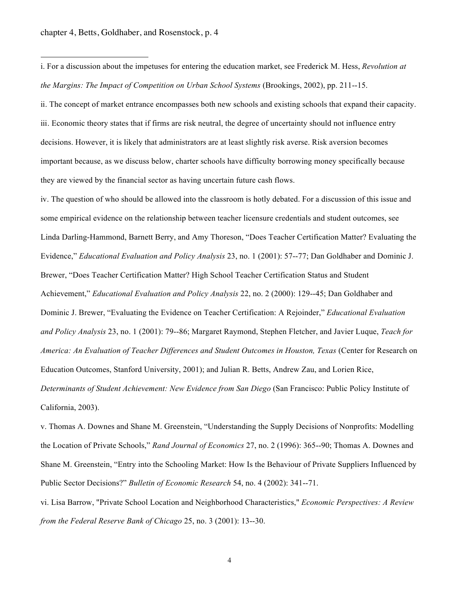$\overline{a}$ 

i. For a discussion about the impetuses for entering the education market, see Frederick M. Hess, *Revolution at the Margins: The Impact of Competition on Urban School Systems* (Brookings, 2002), pp. 211--15.

ii. The concept of market entrance encompasses both new schools and existing schools that expand their capacity. iii. Economic theory states that if firms are risk neutral, the degree of uncertainty should not influence entry decisions. However, it is likely that administrators are at least slightly risk averse. Risk aversion becomes important because, as we discuss below, charter schools have difficulty borrowing money specifically because they are viewed by the financial sector as having uncertain future cash flows.

iv. The question of who should be allowed into the classroom is hotly debated. For a discussion of this issue and some empirical evidence on the relationship between teacher licensure credentials and student outcomes, see Linda Darling-Hammond, Barnett Berry, and Amy Thoreson, "Does Teacher Certification Matter? Evaluating the Evidence," *Educational Evaluation and Policy Analysis* 23, no. 1 (2001): 57--77; Dan Goldhaber and Dominic J. Brewer, "Does Teacher Certification Matter? High School Teacher Certification Status and Student Achievement," *Educational Evaluation and Policy Analysis* 22, no. 2 (2000): 129--45; Dan Goldhaber and Dominic J. Brewer, "Evaluating the Evidence on Teacher Certification: A Rejoinder," *Educational Evaluation and Policy Analysis* 23, no. 1 (2001): 79--86; Margaret Raymond, Stephen Fletcher, and Javier Luque, *Teach for America: An Evaluation of Teacher Differences and Student Outcomes in Houston, Texas* (Center for Research on Education Outcomes, Stanford University, 2001); and Julian R. Betts, Andrew Zau, and Lorien Rice, *Determinants of Student Achievement: New Evidence from San Diego* (San Francisco: Public Policy Institute of California, 2003).

v. Thomas A. Downes and Shane M. Greenstein, "Understanding the Supply Decisions of Nonprofits: Modelling the Location of Private Schools," *Rand Journal of Economics* 27, no. 2 (1996): 365--90; Thomas A. Downes and Shane M. Greenstein, "Entry into the Schooling Market: How Is the Behaviour of Private Suppliers Influenced by Public Sector Decisions?" *Bulletin of Economic Research* 54, no. 4 (2002): 341--71.

vi. Lisa Barrow, "Private School Location and Neighborhood Characteristics," *Economic Perspectives: A Review from the Federal Reserve Bank of Chicago* 25, no. 3 (2001): 13--30.